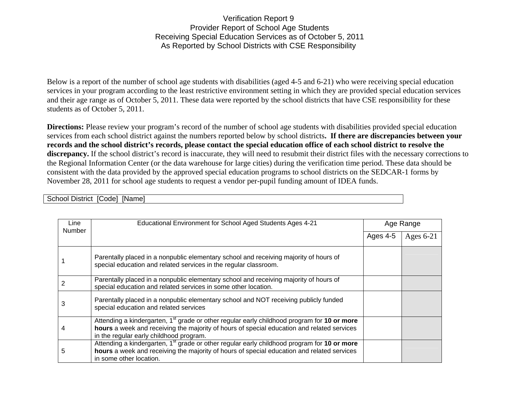Verification Report 9 Provider Report of School Age Students Receiving Special Education Services as of October 5, 2011 As Reported by School Districts with CSE Responsibility

Below is a report of the number of school age students with disabilities (aged 4-5 and 6-21) who were receiving special education services in your program according to the least restrictive environment setting in which they are provided special education services and their age range as of October 5, 2011. These data were reported by the school districts that have CSE responsibility for these students as of October 5, 2011.

**Directions:** Please review your program's record of the number of school age students with disabilities provided special education services from each school district against the numbers reported below by school districts**. If there are discrepancies between your records and the school district's records, please contact the special education office of each school district to resolve the**  discrepancy. If the school district's record is inaccurate, they will need to resubmit their district files with the necessary corrections to the Regional Information Center (or the data warehouse for large cities) during the verification time period. These data should be consistent with the data provided by the approved special education programs to school districts on the SEDCAR-1 forms by November 28, 2011 for school age students to request a vendor per-pupil funding amount of IDEA funds.

| Line<br><b>Number</b> | Educational Environment for School Aged Students Ages 4-21                                                                                                                                                                                       | Age Range |             |
|-----------------------|--------------------------------------------------------------------------------------------------------------------------------------------------------------------------------------------------------------------------------------------------|-----------|-------------|
|                       |                                                                                                                                                                                                                                                  | Ages 4-5  | Ages $6-21$ |
|                       | Parentally placed in a nonpublic elementary school and receiving majority of hours of<br>special education and related services in the regular classroom.                                                                                        |           |             |
|                       | Parentally placed in a nonpublic elementary school and receiving majority of hours of<br>special education and related services in some other location.                                                                                          |           |             |
| 3                     | Parentally placed in a nonpublic elementary school and NOT receiving publicly funded<br>special education and related services                                                                                                                   |           |             |
| 4                     | Attending a kindergarten, 1 <sup>st</sup> grade or other regular early childhood program for 10 or more<br>hours a week and receiving the majority of hours of special education and related services<br>in the regular early childhood program. |           |             |
| 5                     | Attending a kindergarten, 1 <sup>st</sup> grade or other regular early childhood program for 10 or more<br>hours a week and receiving the majority of hours of special education and related services<br>in some other location.                 |           |             |

School District [Code] [Name]